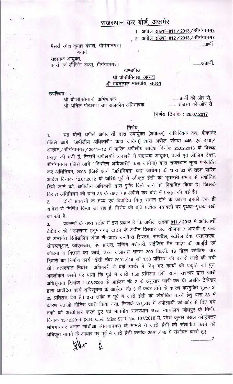# राजस्थान कर बोर्ड, अजमेर

1. अपील संख्या-811 / 2013 / श्रीगंगानगर 2. अपील संख्या-812 / 2013 / श्रीगंगानगर

.........प्रार्थी

मैसर्स रमेश कुमार बंसल, श्रीगंगानगर। बनाम

.........आप्रार्थी.

.......................2.

सहायक आयुक्त,

वर्क्स एवं लीजिंग टैक्स, श्रीगंगानगर। खण्डपीठ

# श्री वी.श्रीनिवास, अध्यक्ष श्री मदनलाल मालवीय, सदस्य

उपस्थित ::

....... राजस्व की ओर से

श्री वी.सी.सोगानी. अभिभाषक श्री अनिल पोखरणा उप राजकीय अभिभाषक

# निर्णय दिनांक: 26.07.2017

#### निर्णय

यह दोनों अपीलें अपीलार्थी द्वारा उपायुक्त (अपील्स), वाणिज्यिक कर, बीकानेर  $1.$ (जिसे आगे "अपीलीय अधिकारी" कहा जायेगा) द्वारा अपील संख्या 445 एवं 446/ आरवेट /श्रीगंगानगर / 2011-12 में पारित अपीलीय आदेश दिनांक 25.02.2013 के विरूद्ध ग्रस्तुत की गयी हैं, जिसमें अपीलार्थी व्यवहारी ने सहायक आयुक्त, वर्क्स एवं लीजिंग टैक्स, श्रीगंगानगर (जिसे आगे "निर्धारण अधिकारी" कहा जायेगा) द्वारा राजस्थान मूल्य परिवर्धित कर अधिनियम, 2003 (जिसे आगे "अधिनियम" कहा जायेगा) की धारा 33 के तहत पारित आदेश दिनांक 12.01.2012 के जरिये पूर्व में स्वीकृत ईसी को भूतलक्षी प्रभाव से संशोधित किये जाने को, अपीलीय अधिकारी द्वारा पुष्टि किये जाने को विवादित किया है। जिसके

विरूद्ध अधिनियम की धारा 83 के तहत यह अपीलें कर बोर्ड में प्रस्तुत की गई है। दोनों प्रकरणों के तथ्य एवं विवादित बिन्दु समान होने के कारण इनको एक ही  $2.$ आदेश से निर्णित किया जा रहा है, निर्णय की प्रति प्रत्येक पत्रावली पर पृथक–पृथक रखी जा रही है।

प्रकरणों के तथ्य संक्षेप में इस प्रकार हैं कि अपील संख्या 811/2013 में अपीलार्थी  $3.$ ठेकेदार को "उपखण्ड हनुमानगढ़ टाउन के अधीन विस्तार जल योजना 7 आर.पी-ए कक के अन्तर्गत रिमोडलिंग ऑफ रॉ-वाटर कनवैन्स सिस्टम, सम्पवैल, स्टोरेज टैंक, एसएसएफ, सीडब्ल्यूआर, जीएलआर, पंप हाउस, पम्पिंग मशीनरी, राईजिंग मैन पाईप की आपूर्ति एवं जोडना व बिछाने का कार्य, उच्च जलाशय क्षमता 300 कि.ली. 18 मीटर स्टेजिंग, चार दिवारी का निर्माण कार्य" ईसी नंबर 2991 / 49 जो 1.50 प्रतिशत की दर से जारी की गयी थी। तत्पश्चात निर्धारण अधिकारी ने वर्क आर्डर में दिए गए कार्यों की प्रकृति का पुनः अवलोकन करने पर पाया कि पूर्व में जारी 1.50 प्रतिशत ईसी राज्य सरकार द्वारा जारी अधिसूचना दिनांक 11.08.2006 के आईटम नं0 2 के अनुसार जारी कर दी जबकि ठेकेदार द्वारा आवंटित कार्य अधिसूचना के आईटम नं0 3 में कवर होने के कारण करमुक्ति शुल्क 2. 25 प्रतिशत देय है। इस संबंध में पूर्व में जारी ईसी को संशोधित करने हेतु धारा 33 में कारण बताओ नोटिस जारी किया गया, जिसके प्रत्युत्तर में अपीलार्थी की ओर से दिए गये तर्को को अस्वीकार करते हुए एवं माननीय राजस्थान उच्च न्यायालय जोधपुर के निर्णय दिनांक 13.12.2011 (S.B. Civil Misc STR No. 107/2010 मै. रमेश कुमार बंसल कॉन्ट्रेक्टर श्रीगंगानगर बनाम सीटीओ श्रीगंगानगर) के मामले में जारी ईसी को संशोधित करने को अधिकृत मानने के आधार पर पूर्व में जारी ईसी क्रमांक 2991/49 में संशोधन करते हुए

Ł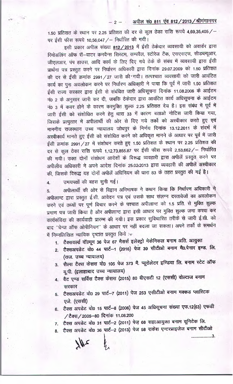#### अपील सं0 811 एंव 812 / 2013 / श्रीगंगानगर  $-2-$

1.50 प्रतिशत के स्थान पर 2.25 प्रतिशत की दर से कुल ठेका राशि रूपये 4,69,35,405 / -पर ईसी फीस रूपये 10,56,047 / - निर्धारित की गयी।

इसी प्रकार अपील संख्या 812/2013 में ईसी ठेकेदार व्यवसायी को अवार्डर द्वारा रिमोडलिंग ऑफ रॉ-वाटर कनवैन्स सिस्टम, सम्पवैल, स्टोरेज टैंक, एसएसएफ, सीडब्ल्यूआर, जीएलआर, पंप हाउस, आदि कार्य के लिए दिए गये ठेके के संबंध में व्यवसायी द्वारा ईसी प्रार्थना पत्र प्रस्तुत करने पर निर्धारण अधिकारी द्वारा दिनांक 29.07.2009 को 1.50 प्रतिशत की दर से ईसी क्रमांक 2991 / 27 जारी की गयी। तत्पश्चात व्यवसायी को जारी आवंटित कार्य का पुनः अवलोकन करने पर निर्धारण अधिकारी ने पाया कि पूर्व में जारी 1.50 प्रतिशत ईसी राज्य सरकार द्वारा ईसी से संबंधित जारी अधिसूचना दिनांक 11.08.2006 के आईटम नं0 2 के अनुसार जारी कर दी, जबकि ठेकेदार द्वारा आवंटित कार्य अधिसूचना के आईटम नं0 3 में कवर होने के कारण करमुक्ति शुल्क 2.25 प्रतिशत देय है। इस संबंध में पूर्व में जारी ईसी को संशोधित करने हेतु धारा 33 में कारण बताओ नोटिस जारी किया गया, जिसके प्रत्युत्तर में अपीलार्थी की ओर से दिए गये तर्को को अस्वीकार करते हुए एवं माननीय राजस्थान उच्च न्यायालय जोधपुर के निर्णय दिनांक 13.12.2011 के संदर्भ में अस्वीकार्य मानते हुए ईसी को संशोधित करने को अधिकृत मानने के आधार पर पूर्व में जारी ईसी क्रमांक 2991 / 27 में संशोधन करते हुए 1.50 प्रतिशत के स्थान पर 2.25 प्रतिशत की दर से कुल ठेका राशि रूपये 1,12,73,855.87 पर ईसी फीस रूपये 2,53,662 / – निर्धारित की गयी। उक्त दोनों संशोधन आदेशों के विरूद्ध व्यवहारी द्वारा अपीलें प्रस्तुत करने पर अपीलीय अधिकारी ने अपने आदेश दिनांक 25.02.2013 द्वारा व्यवहारी की अपीलें अस्वीकार की, जिसके विरूद्ध यह दोनों अपीलें अधिनियम की धारा 83 के तहत प्रस्तुत की गई है।

उभयपक्षों की बहस सुनी गई।  $4.$ 

अपीलार्थी की ओर से विद्वान अभिभाषक ने कथन किया कि निर्धारण अधिकारी ने 5. अपीलान्ट द्वारा प्रस्तुत ई.सी. आवेदन पत्र एवं उसके साथ संलग्न दस्तावेजों का अवलोकन करने एवं तथ्यों पर पूर्ण विचार करने के पश्चात अपीलान्ट को 1.5 प्रति. से मुक्ति शुल्क प्रमाण पत्र जारी किया है और अपीलान्ट द्वारा इसी आधार पर मुक्ति शुल्क जमा करवा कर कार्यसंविदा की कार्यवाही प्रारम्भ की गयी। इस प्रकार सुविचारित तरीके से जारी ई.सी. को बाद "चेन्ज ऑफ ओपीनियन" के आधार पर नहीं बदला जा सकता। अपने तर्को के समर्थन में निम्नलिखित न्यायिक दृष्टांत प्रस्तुत किये :-

- 1. टैक्सवर्ल्ड वॉल्यूम 36 पेज 67 मैसर्स इलेक्ट्रो मेकेनिकल बनाम अति. आयुक्त
- 2. टैक्सअपडेट वो0 44 पार्ट-1 (2016) पेज 39 सीटीओ बनाम मै0.पेनार इण्ड. लि. (राज. उच्च न्यायालय)
- 3. सैल्स टैक्स केसस वो0 105 पेज 373 मै. प्यूरोलेटर इण्डिया लि. बनाम स्टेट ऑफ यू.पी. (इलाहाबाद उच्च न्यायालय)
- 4. वैट एण्ड सर्विस टैक्स केसस (2015) 80 वीएसटी 12 (एससी) वोल्टाज बनाम सरकार
- 5. टैक्सअपडेट वो0 29 पार्ट-7 (2011) पेज 253 एसीटीओ बनाम मक्कड प्लास्टिक एजे. (एससी)
- 6. टैक्स अपडेट वो0 15 पार्ट-8 (2006) पेज 45 अधिसूचना संख्या एफ.12(63) एफडी /टैक्स/2005-80 दिनांक 11.08.200
- 7. टैक्स अपडेट वो0 31 पार्ट-2 (2011) पेज़ 68 सहा.आयुक्त बनाम यूनिटेक लि.
- 8. टैक्स अपडेट वो0 36 पार्ट-2 (2013) पेज 58 राकेश एन्टरप्राइजेज बनाम सीटीओ

.....................3.

 $24/$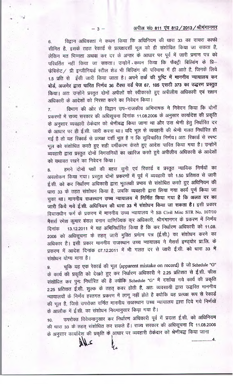### अपील सं0 811 एंव 812 / 2013 / श्रीगंगानगर

विद्वान अधिवक्ता ने कथन किया कि अधिनियम की धारा 33 का दायरा काफी 6. सीमित है, इसके तहत रेकार्ड से प्रत्यक्षदर्शी भूल को ही संशोधित किया जा सकता है, लेकिन मत भिन्नता अथवा कर दर के अन्तर के आधार पर पूर्व में जारी प्रमाण पत्र को परिवर्तित नहीं किया जा सकता। उन्होनें कथन किया कि फैक्ट्री बिल्डिंग के प्रि– फेबिकेट / प्री इन्जीनियर्ड स्टील शेड भी बिल्डिंग की परिभाषा में ही आते है, जिनके लिये 1.5 प्रति से ईसी जारी किया जाता है। अपने तर्क की पुष्टि में माननीय न्यायालय कर बोर्ड, अजमेर द्वारा पारित निर्णय 36 टैक्स वर्ड पेज 67, 105 एसटी 373 का उद्धरण प्रस्तुत किया। अतः उन्होंने प्रस्तुत दोनों अपीलों को स्वीकारते हुए अपीलीय अधिकारी एवं सक्षम अधिकारी के आदेशों को निरस्त करने का निवेदन किया।

 $-3-$ 

विभाग की ओर से विद्वान उप-राजकीय अभिभाषक ने निवेदन किया कि दोनों  $\overline{7}$ प्रकरणों में राज्य सरकार की अधिसूचना दिनांक 11.08.2006 के अनुसार कार्यादेश की प्रकृति के अनुसार व्यवहारी ठेकेदार को श्रेणीबद्ध किया जाना था और उस श्रेणी हेतु निर्धारित दर के आधार पर ही ई.सी. जारी करना था। यदि भूल से व्यवहारी की श्रेणी गलत निर्धारित हो गई है तो यह रिकार्ड से प्रत्यक्ष दर्शी भूल है न कि सुविचारित निर्णय। अतः रिकार्ड से स्पष्ट भूल को संशोधित करते हुए सही वर्गीकरण कंरते हुए आदेश पारित किया गया है। उन्होनें व्यवहारी द्वारा प्रस्तुत दोनों निगरानियों का खारिज करते हुये अपीलीय अधिकारी के आदेशों को यथावत रखने का निवेदन किया।

हमने दोनों पक्षों की बहस सुनी एवं रिकार्ड व प्रस्तुत न्यायिक निर्णयों का 8. अवलोकन किया गया। प्रस्तुत दोनों प्रकरणों में पूर्व में व्यवहारी को 1.50 प्रतिशत से जारी ई.सी. को कर निर्धारण अधिकारी द्वारा भूतलक्षी प्रभाव से संशोधित करते हुए अधिनियम की धारा 33 के तहत संशोधन किया है, जबकि व्यवहारी द्वारा लिया गया कार्य पूर्ण किया जा चूका था। माननीय राजस्थान उच्च न्यायालय में निर्णित किया गया है कि अलत दर का जारी किये गये ई.सी. अधिनियम की धारा 33 में संशोधन किया जा सकता है। इसी प्रकार विचाराधीन फर्म के प्रकरण में माननीय उच्च न्यायालय ने SB Civil Misc STR No. 107/10 मैसर्स रमेश कुमार बंसल बनाम वाणिज्यिक कर अधिकारी, श्रीगंगानगर के प्रकरण में निर्णय 13.12.2011 में यह अभिनिर्धारित किया है कि कर निर्धारण अधिकारी को 11.08. दिनांक 2006 को अधिसूचना के तहत् जारी मुक्ति प्रमाण पत्र (ई.सी.) का संशोधन करने का अधिकार है। इसी प्रकार माननीय राजस्थान उच्च न्यायालय ने मैसर्स इण्ड्योर प्रा.लि. के प्रकरण में आदेश दिनांक 07.12.2011 में भी गलत दर से जारी ई.सी. को धारा 33 में संशोधन योग्य माना है।

चूकि यह एक रेकार्ड की भूल (apparent mistake on record) है जो Schedule "G"  $9<sub>1</sub>$ के कार्य की प्रकृति को देखते हुए कर निर्धारण अधिकारी ने 2.25 प्रतिशत से ई.सी. फीस संशोधित कर पुनः निर्धारित की है क्योकि Schedule "G" में दर्शाया गये कार्य की प्रकृति 2.25 प्रतिशत ई.सी. शुल्क के तहत् कवर होती है, अतः व्यवसायी द्वारा उद्धरित माननीय न्यायालयों के निर्णय हस्तगत प्रकरण में लागू नहीं होते है क्योकि यह प्रत्यक्ष रूप से रेकार्ड की भूल है, जिसे उपरोक्त वर्णित माननीय राजस्थान उच्च न्यायालय द्वारा दिये गये निर्णयों के आलौक में ई.सी. का संशोधन नियमानुसार किया गया है।

उपरोक्त विवेचनानुसार कर निर्धारण अधिकारी पूर्व में प्रदत्त ई.सी. को अधिनियम  $10.$ की धारा 33 के तहत् संशोधित कर सकते हैं। राज्य सरकार की अधिसूचना दि 11.08.2006 के अनुसार कार्यादेश की प्रकृति के आधार पर व्यवहारी ठेकेदार को श्रेणीबद्ध किया जाना

alls